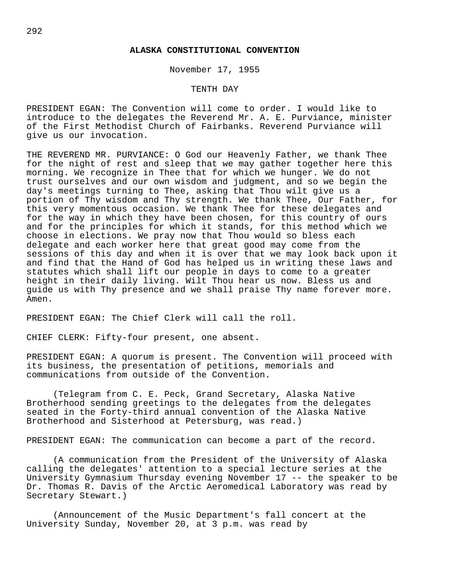#### **ALASKA CONSTITUTIONAL CONVENTION**

November 17, 1955

## TENTH DAY

PRESIDENT EGAN: The Convention will come to order. I would like to introduce to the delegates the Reverend Mr. A. E. Purviance, minister of the First Methodist Church of Fairbanks. Reverend Purviance will give us our invocation.

THE REVEREND MR. PURVIANCE: O God our Heavenly Father, we thank Thee for the night of rest and sleep that we may gather together here this morning. We recognize in Thee that for which we hunger. We do not trust ourselves and our own wisdom and judgment, and so we begin the day's meetings turning to Thee, asking that Thou wilt give us a portion of Thy wisdom and Thy strength. We thank Thee, Our Father, for this very momentous occasion. We thank Thee for these delegates and for the way in which they have been chosen, for this country of ours and for the principles for which it stands, for this method which we choose in elections. We pray now that Thou would so bless each delegate and each worker here that great good may come from the sessions of this day and when it is over that we may look back upon it and find that the Hand of God has helped us in writing these laws and statutes which shall lift our people in days to come to a greater height in their daily living. Wilt Thou hear us now. Bless us and guide us with Thy presence and we shall praise Thy name forever more. Amen.

PRESIDENT EGAN: The Chief Clerk will call the roll.

CHIEF CLERK: Fifty-four present, one absent.

PRESIDENT EGAN: A quorum is present. The Convention will proceed with its business, the presentation of petitions, memorials and communications from outside of the Convention.

(Telegram from C. E. Peck, Grand Secretary, Alaska Native Brotherhood sending greetings to the delegates from the delegates seated in the Forty-third annual convention of the Alaska Native Brotherhood and Sisterhood at Petersburg, was read.)

PRESIDENT EGAN: The communication can become a part of the record.

(A communication from the President of the University of Alaska calling the delegates' attention to a special lecture series at the University Gymnasium Thursday evening November 17 -- the speaker to be Dr. Thomas R. Davis of the Arctic Aeromedical Laboratory was read by Secretary Stewart.)

(Announcement of the Music Department's fall concert at the University Sunday, November 20, at 3 p.m. was read by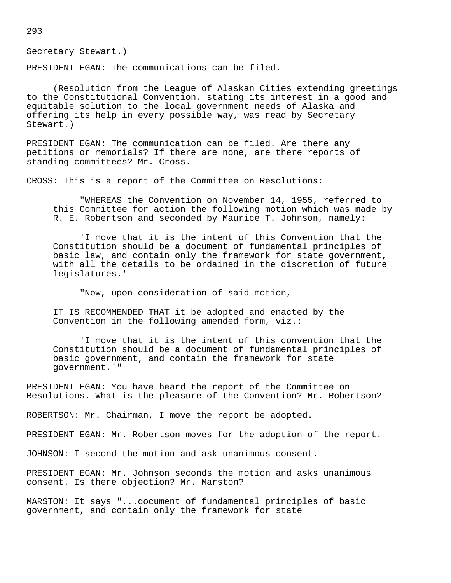Secretary Stewart.)

PRESIDENT EGAN: The communications can be filed.

(Resolution from the League of Alaskan Cities extending greetings to the Constitutional Convention, stating its interest in a good and equitable solution to the local government needs of Alaska and offering its help in every possible way, was read by Secretary Stewart.)

PRESIDENT EGAN: The communication can be filed. Are there any petitions or memorials? If there are none, are there reports of standing committees? Mr. Cross.

CROSS: This is a report of the Committee on Resolutions:

"WHEREAS the Convention on November 14, 1955, referred to this Committee for action the following motion which was made by R. E. Robertson and seconded by Maurice T. Johnson, namely:

'I move that it is the intent of this Convention that the Constitution should be a document of fundamental principles of basic law, and contain only the framework for state government, with all the details to be ordained in the discretion of future legislatures.'

"Now, upon consideration of said motion,

IT IS RECOMMENDED THAT it be adopted and enacted by the Convention in the following amended form, viz.:

'I move that it is the intent of this convention that the Constitution should be a document of fundamental principles of basic government, and contain the framework for state government.'"

PRESIDENT EGAN: You have heard the report of the Committee on Resolutions. What is the pleasure of the Convention? Mr. Robertson?

ROBERTSON: Mr. Chairman, I move the report be adopted.

PRESIDENT EGAN: Mr. Robertson moves for the adoption of the report.

JOHNSON: I second the motion and ask unanimous consent.

PRESIDENT EGAN: Mr. Johnson seconds the motion and asks unanimous consent. Is there objection? Mr. Marston?

MARSTON: It says "...document of fundamental principles of basic government, and contain only the framework for state

293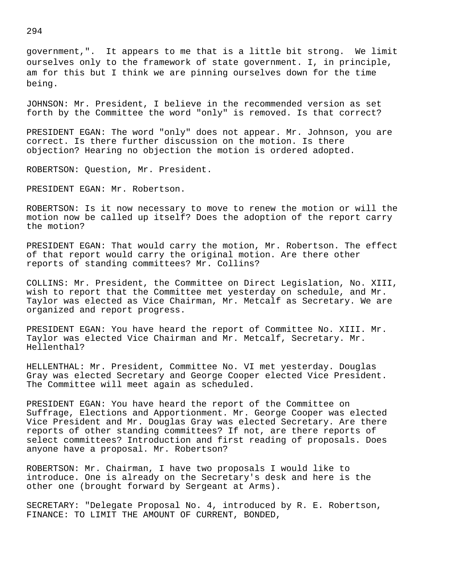government,". It appears to me that is a little bit strong. We limit ourselves only to the framework of state government. I, in principle, am for this but I think we are pinning ourselves down for the time being.

JOHNSON: Mr. President, I believe in the recommended version as set forth by the Committee the word "only" is removed. Is that correct?

PRESIDENT EGAN: The word "only" does not appear. Mr. Johnson, you are correct. Is there further discussion on the motion. Is there objection? Hearing no objection the motion is ordered adopted.

ROBERTSON: Question, Mr. President.

PRESIDENT EGAN: Mr. Robertson.

ROBERTSON: Is it now necessary to move to renew the motion or will the motion now be called up itself? Does the adoption of the report carry the motion?

PRESIDENT EGAN: That would carry the motion, Mr. Robertson. The effect of that report would carry the original motion. Are there other reports of standing committees? Mr. Collins?

COLLINS: Mr. President, the Committee on Direct Legislation, No. XIII, wish to report that the Committee met yesterday on schedule, and Mr. Taylor was elected as Vice Chairman, Mr. Metcalf as Secretary. We are organized and report progress.

PRESIDENT EGAN: You have heard the report of Committee No. XIII. Mr. Taylor was elected Vice Chairman and Mr. Metcalf, Secretary. Mr. Hellenthal?

HELLENTHAL: Mr. President, Committee No. VI met yesterday. Douglas Gray was elected Secretary and George Cooper elected Vice President. The Committee will meet again as scheduled.

PRESIDENT EGAN: You have heard the report of the Committee on Suffrage, Elections and Apportionment. Mr. George Cooper was elected Vice President and Mr. Douglas Gray was elected Secretary. Are there reports of other standing committees? If not, are there reports of select committees? Introduction and first reading of proposals. Does anyone have a proposal. Mr. Robertson?

ROBERTSON: Mr. Chairman, I have two proposals I would like to introduce. One is already on the Secretary's desk and here is the other one (brought forward by Sergeant at Arms).

SECRETARY: "Delegate Proposal No. 4, introduced by R. E. Robertson, FINANCE: TO LIMIT THE AMOUNT OF CURRENT, BONDED,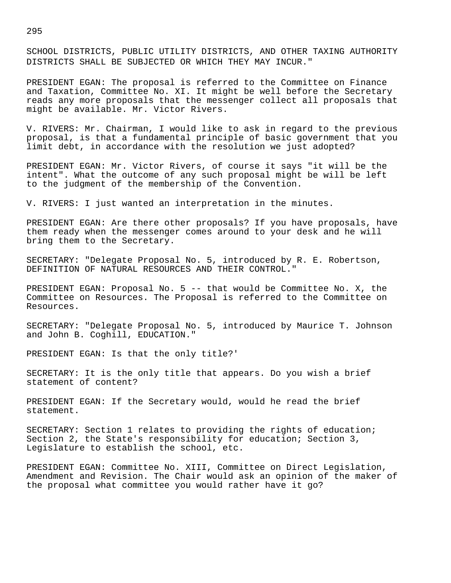SCHOOL DISTRICTS, PUBLIC UTILITY DISTRICTS, AND OTHER TAXING AUTHORITY DISTRICTS SHALL BE SUBJECTED OR WHICH THEY MAY INCUR."

PRESIDENT EGAN: The proposal is referred to the Committee on Finance and Taxation, Committee No. XI. It might be well before the Secretary reads any more proposals that the messenger collect all proposals that might be available. Mr. Victor Rivers.

V. RIVERS: Mr. Chairman, I would like to ask in regard to the previous proposal, is that a fundamental principle of basic government that you limit debt, in accordance with the resolution we just adopted?

PRESIDENT EGAN: Mr. Victor Rivers, of course it says "it will be the intent". What the outcome of any such proposal might be will be left to the judgment of the membership of the Convention.

V. RIVERS: I just wanted an interpretation in the minutes.

PRESIDENT EGAN: Are there other proposals? If you have proposals, have them ready when the messenger comes around to your desk and he will bring them to the Secretary.

SECRETARY: "Delegate Proposal No. 5, introduced by R. E. Robertson, DEFINITION OF NATURAL RESOURCES AND THEIR CONTROL."

PRESIDENT EGAN: Proposal No. 5 -- that would be Committee No. X, the Committee on Resources. The Proposal is referred to the Committee on Resources.

SECRETARY: "Delegate Proposal No. 5, introduced by Maurice T. Johnson and John B. Coghill, EDUCATION."

PRESIDENT EGAN: Is that the only title?'

SECRETARY: It is the only title that appears. Do you wish a brief statement of content?

PRESIDENT EGAN: If the Secretary would, would he read the brief statement.

SECRETARY: Section 1 relates to providing the rights of education; Section 2, the State's responsibility for education; Section 3, Legislature to establish the school, etc.

PRESIDENT EGAN: Committee No. XIII, Committee on Direct Legislation, Amendment and Revision. The Chair would ask an opinion of the maker of the proposal what committee you would rather have it go?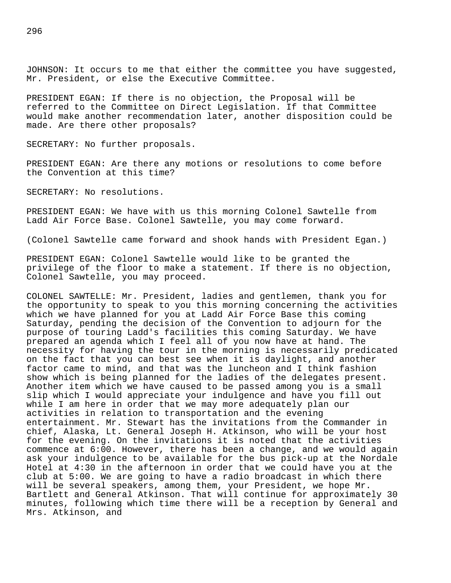JOHNSON: It occurs to me that either the committee you have suggested, Mr. President, or else the Executive Committee.

PRESIDENT EGAN: If there is no objection, the Proposal will be referred to the Committee on Direct Legislation. If that Committee would make another recommendation later, another disposition could be made. Are there other proposals?

SECRETARY: No further proposals.

PRESIDENT EGAN: Are there any motions or resolutions to come before the Convention at this time?

SECRETARY: No resolutions.

PRESIDENT EGAN: We have with us this morning Colonel Sawtelle from Ladd Air Force Base. Colonel Sawtelle, you may come forward.

(Colonel Sawtelle came forward and shook hands with President Egan.)

PRESIDENT EGAN: Colonel Sawtelle would like to be granted the privilege of the floor to make a statement. If there is no objection, Colonel Sawtelle, you may proceed.

COLONEL SAWTELLE: Mr. President, ladies and gentlemen, thank you for the opportunity to speak to you this morning concerning the activities which we have planned for you at Ladd Air Force Base this coming Saturday, pending the decision of the Convention to adjourn for the purpose of touring Ladd's facilities this coming Saturday. We have prepared an agenda which I feel all of you now have at hand. The necessity for having the tour in the morning is necessarily predicated on the fact that you can best see when it is daylight, and another factor came to mind, and that was the luncheon and I think fashion show which is being planned for the ladies of the delegates present. Another item which we have caused to be passed among you is a small slip which I would appreciate your indulgence and have you fill out while I am here in order that we may more adequately plan our activities in relation to transportation and the evening entertainment. Mr. Stewart has the invitations from the Commander in chief, Alaska, Lt. General Joseph H. Atkinson, who will be your host for the evening. On the invitations it is noted that the activities commence at 6:00. However, there has been a change, and we would again ask your indulgence to be available for the bus pick-up at the Nordale Hotel at 4:30 in the afternoon in order that we could have you at the club at 5:00. We are going to have a radio broadcast in which there will be several speakers, among them, your President, we hope Mr. Bartlett and General Atkinson. That will continue for approximately 30 minutes, following which time there will be a reception by General and Mrs. Atkinson, and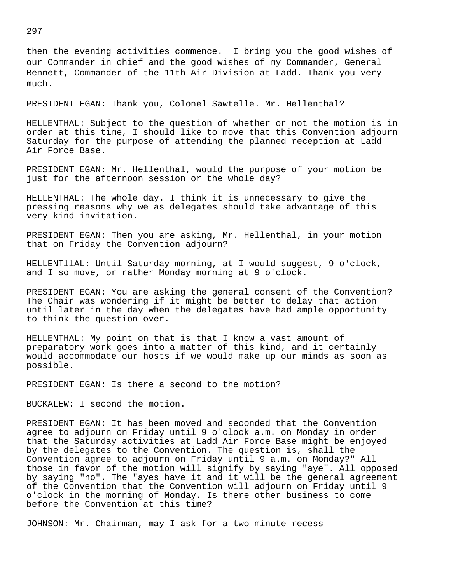then the evening activities commence. I bring you the good wishes of our Commander in chief and the good wishes of my Commander, General Bennett, Commander of the 11th Air Division at Ladd. Thank you very much.

PRESIDENT EGAN: Thank you, Colonel Sawtelle. Mr. Hellenthal?

HELLENTHAL: Subject to the question of whether or not the motion is in order at this time, I should like to move that this Convention adjourn Saturday for the purpose of attending the planned reception at Ladd Air Force Base.

PRESIDENT EGAN: Mr. Hellenthal, would the purpose of your motion be just for the afternoon session or the whole day?

HELLENTHAL: The whole day. I think it is unnecessary to give the pressing reasons why we as delegates should take advantage of this very kind invitation.

PRESIDENT EGAN: Then you are asking, Mr. Hellenthal, in your motion that on Friday the Convention adjourn?

HELLENTllAL: Until Saturday morning, at I would suggest, 9 o'clock, and I so move, or rather Monday morning at 9 o'clock.

PRESIDENT EGAN: You are asking the general consent of the Convention? The Chair was wondering if it might be better to delay that action until later in the day when the delegates have had ample opportunity to think the question over.

HELLENTHAL: My point on that is that I know a vast amount of preparatory work goes into a matter of this kind, and it certainly would accommodate our hosts if we would make up our minds as soon as possible.

PRESIDENT EGAN: Is there a second to the motion?

BUCKALEW: I second the motion.

PRESIDENT EGAN: It has been moved and seconded that the Convention agree to adjourn on Friday until 9 o'clock a.m. on Monday in order that the Saturday activities at Ladd Air Force Base might be enjoyed by the delegates to the Convention. The question is, shall the Convention agree to adjourn on Friday until 9 a.m. on Monday?" All those in favor of the motion will signify by saying "aye". All opposed by saying "no". The "ayes have it and it will be the general agreement of the Convention that the Convention will adjourn on Friday until 9 o'clock in the morning of Monday. Is there other business to come before the Convention at this time?

JOHNSON: Mr. Chairman, may I ask for a two-minute recess

297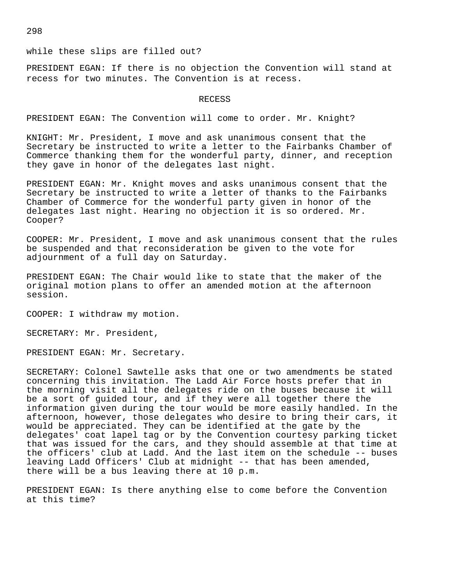# while these slips are filled out?

PRESIDENT EGAN: If there is no objection the Convention will stand at recess for two minutes. The Convention is at recess.

#### RECESS

PRESIDENT EGAN: The Convention will come to order. Mr. Knight?

KNIGHT: Mr. President, I move and ask unanimous consent that the Secretary be instructed to write a letter to the Fairbanks Chamber of Commerce thanking them for the wonderful party, dinner, and reception they gave in honor of the delegates last night.

PRESIDENT EGAN: Mr. Knight moves and asks unanimous consent that the Secretary be instructed to write a letter of thanks to the Fairbanks Chamber of Commerce for the wonderful party given in honor of the delegates last night. Hearing no objection it is so ordered. Mr. Cooper?

COOPER: Mr. President, I move and ask unanimous consent that the rules be suspended and that reconsideration be given to the vote for adjournment of a full day on Saturday.

PRESIDENT EGAN: The Chair would like to state that the maker of the original motion plans to offer an amended motion at the afternoon session.

COOPER: I withdraw my motion.

SECRETARY: Mr. President,

PRESIDENT EGAN: Mr. Secretary.

SECRETARY: Colonel Sawtelle asks that one or two amendments be stated concerning this invitation. The Ladd Air Force hosts prefer that in the morning visit all the delegates ride on the buses because it will be a sort of guided tour, and if they were all together there the information given during the tour would be more easily handled. In the afternoon, however, those delegates who desire to bring their cars, it would be appreciated. They can be identified at the gate by the delegates' coat lapel tag or by the Convention courtesy parking ticket that was issued for the cars, and they should assemble at that time at the officers' club at Ladd. And the last item on the schedule -- buses leaving Ladd Officers' Club at midnight -- that has been amended, there will be a bus leaving there at 10 p.m.

PRESIDENT EGAN: Is there anything else to come before the Convention at this time?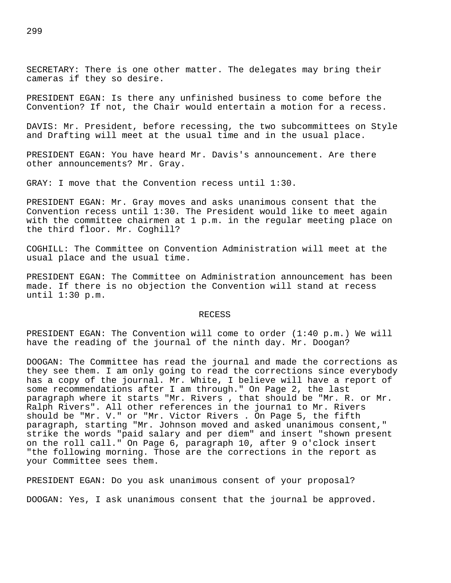SECRETARY: There is one other matter. The delegates may bring their cameras if they so desire.

PRESIDENT EGAN: Is there any unfinished business to come before the Convention? If not, the Chair would entertain a motion for a recess.

DAVIS: Mr. President, before recessing, the two subcommittees on Style and Drafting will meet at the usual time and in the usual place.

PRESIDENT EGAN: You have heard Mr. Davis's announcement. Are there other announcements? Mr. Gray.

GRAY: I move that the Convention recess until 1:30.

PRESIDENT EGAN: Mr. Gray moves and asks unanimous consent that the Convention recess until 1:30. The President would like to meet again with the committee chairmen at 1 p.m. in the regular meeting place on the third floor. Mr. Coghill?

COGHILL: The Committee on Convention Administration will meet at the usual place and the usual time.

PRESIDENT EGAN: The Committee on Administration announcement has been made. If there is no objection the Convention will stand at recess until 1:30 p.m.

### RECESS

PRESIDENT EGAN: The Convention will come to order (1:40 p.m.) We will have the reading of the journal of the ninth day. Mr. Doogan?

DOOGAN: The Committee has read the journal and made the corrections as they see them. I am only going to read the corrections since everybody has a copy of the journal. Mr. White, I believe will have a report of some recommendations after I am through." On Page 2, the last paragraph where it starts "Mr. Rivers , that should be "Mr. R. or Mr. Ralph Rivers". All other references in the journa1 to Mr. Rivers should be "Mr. V." or "Mr. Victor Rivers . On Page 5, the fifth paragraph, starting "Mr. Johnson moved and asked unanimous consent," strike the words "paid salary and per diem" and insert "shown present on the roll call." On Page 6, paragraph 10, after 9 o'clock insert "the following morning. Those are the corrections in the report as your Committee sees them.

PRESIDENT EGAN: Do you ask unanimous consent of your proposal?

DOOGAN: Yes, I ask unanimous consent that the journal be approved.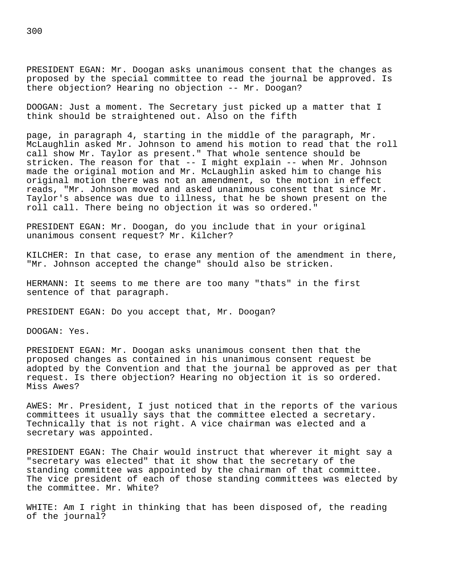PRESIDENT EGAN: Mr. Doogan asks unanimous consent that the changes as proposed by the special committee to read the journal be approved. Is there objection? Hearing no objection -- Mr. Doogan?

DOOGAN: Just a moment. The Secretary just picked up a matter that I think should be straightened out. Also on the fifth

page, in paragraph 4, starting in the middle of the paragraph, Mr. McLaughlin asked Mr. Johnson to amend his motion to read that the roll call show Mr. Taylor as present." That whole sentence should be stricken. The reason for that -- I might explain -- when Mr. Johnson made the original motion and Mr. McLaughlin asked him to change his original motion there was not an amendment, so the motion in effect reads, "Mr. Johnson moved and asked unanimous consent that since Mr. Taylor's absence was due to illness, that he be shown present on the roll call. There being no objection it was so ordered."

PRESIDENT EGAN: Mr. Doogan, do you include that in your original unanimous consent request? Mr. Kilcher?

KILCHER: In that case, to erase any mention of the amendment in there, "Mr. Johnson accepted the change" should also be stricken.

HERMANN: It seems to me there are too many "thats" in the first sentence of that paragraph.

PRESIDENT EGAN: Do you accept that, Mr. Doogan?

DOOGAN: Yes.

PRESIDENT EGAN: Mr. Doogan asks unanimous consent then that the proposed changes as contained in his unanimous consent request be adopted by the Convention and that the journal be approved as per that request. Is there objection? Hearing no objection it is so ordered. Miss Awes?

AWES: Mr. President, I just noticed that in the reports of the various committees it usually says that the committee elected a secretary. Technically that is not right. A vice chairman was elected and a secretary was appointed.

PRESIDENT EGAN: The Chair would instruct that wherever it might say a "secretary was elected" that it show that the secretary of the standing committee was appointed by the chairman of that committee. The vice president of each of those standing committees was elected by the committee. Mr. White?

WHITE: Am I right in thinking that has been disposed of, the reading of the journal?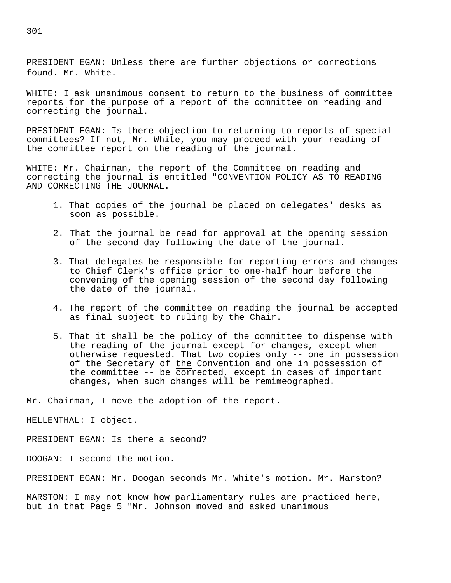PRESIDENT EGAN: Unless there are further objections or corrections found. Mr. White.

WHITE: I ask unanimous consent to return to the business of committee reports for the purpose of a report of the committee on reading and correcting the journal.

PRESIDENT EGAN: Is there objection to returning to reports of special committees? If not, Mr. White, you may proceed with your reading of the committee report on the reading of the journal.

WHITE: Mr. Chairman, the report of the Committee on reading and correcting the journal is entitled "CONVENTION POLICY AS TO READING AND CORRECTING THE JOURNAL.

- 1. That copies of the journal be placed on delegates' desks as soon as possible.
- 2. That the journal be read for approval at the opening session of the second day following the date of the journal.
- 3. That delegates be responsible for reporting errors and changes to Chief Clerk's office prior to one-half hour before the convening of the opening session of the second day following the date of the journal.
- 4. The report of the committee on reading the journal be accepted as final subject to ruling by the Chair.
- 5. That it shall be the policy of the committee to dispense with the reading of the journal except for changes, except when otherwise requested. That two copies only -- one in possession of the Secretary of the Convention and one in possession of the committee  $-$ - be corrected, except in cases of important changes, when such changes will be remimeographed.

Mr. Chairman, I move the adoption of the report.

HELLENTHAL: I object.

PRESIDENT EGAN: Is there a second?

DOOGAN: I second the motion.

PRESIDENT EGAN: Mr. Doogan seconds Mr. White's motion. Mr. Marston?

MARSTON: I may not know how parliamentary rules are practiced here, but in that Page 5 "Mr. Johnson moved and asked unanimous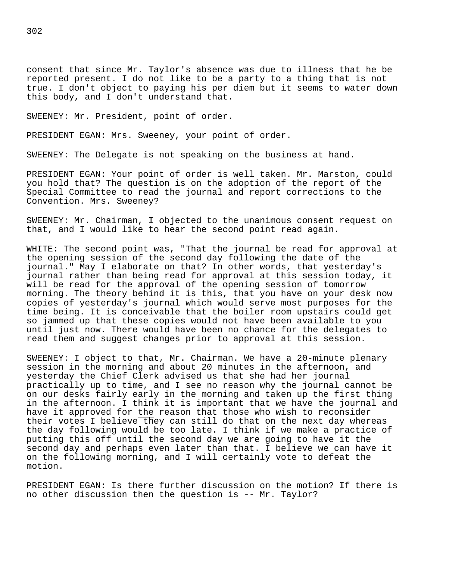consent that since Mr. Taylor's absence was due to illness that he be reported present. I do not like to be a party to a thing that is not true. I don't object to paying his per diem but it seems to water down this body, and I don't understand that.

SWEENEY: Mr. President, point of order.

PRESIDENT EGAN: Mrs. Sweeney, your point of order.

SWEENEY: The Delegate is not speaking on the business at hand.

PRESIDENT EGAN: Your point of order is well taken. Mr. Marston, could you hold that? The question is on the adoption of the report of the Special Committee to read the journal and report corrections to the Convention. Mrs. Sweeney?

SWEENEY: Mr. Chairman, I objected to the unanimous consent request on that, and I would like to hear the second point read again.

WHITE: The second point was, "That the journal be read for approval at the opening session of the second day following the date of the journal." May I elaborate on that? In other words, that yesterday's journal rather than being read for approval at this session today, it will be read for the approval of the opening session of tomorrow morning. The theory behind it is this, that you have on your desk now copies of yesterday's journal which would serve most purposes for the time being. It is conceivable that the boiler room upstairs could get so jammed up that these copies would not have been available to you until just now. There would have been no chance for the delegates to read them and suggest changes prior to approval at this session.

SWEENEY: I object to that, Mr. Chairman. We have a 20-minute plenary session in the morning and about 20 minutes in the afternoon, and yesterday the Chief Clerk advised us that she had her journal practically up to time, and I see no reason why the journal cannot be on our desks fairly early in the morning and taken up the first thing in the afternoon. I think it is important that we have the journal and have it approved for the reason that those who wish to reconsider their votes I believe they can still do that on the next day whereas the day following would be too late. I think if we make a practice of putting this off until the second day we are going to have it the second day and perhaps even later than that. I believe we can have it on the following morning, and I will certainly vote to defeat the motion.

PRESIDENT EGAN: Is there further discussion on the motion? If there is no other discussion then the question is -- Mr. Taylor?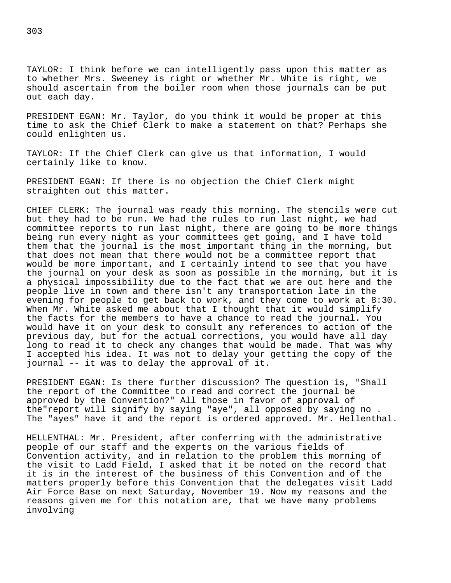TAYLOR: I think before we can intelligently pass upon this matter as to whether Mrs. Sweeney is right or whether Mr. White is right, we should ascertain from the boiler room when those journals can be put out each day.

PRESIDENT EGAN: Mr. Taylor, do you think it would be proper at this time to ask the Chief Clerk to make a statement on that? Perhaps she could enlighten us.

TAYLOR: If the Chief Clerk can give us that information, I would certainly like to know.

PRESIDENT EGAN: If there is no objection the Chief Clerk might straighten out this matter.

CHIEF CLERK: The journal was ready this morning. The stencils were cut but they had to be run. We had the rules to run last night, we had committee reports to run last night, there are going to be more things being run every night as your committees get going, and I have told them that the journal is the most important thing in the morning, but that does not mean that there would not be a committee report that would be more important, and I certainly intend to see that you have the journal on your desk as soon as possible in the morning, but it is a physical impossibility due to the fact that we are out here and the people live in town and there isn't any transportation late in the evening for people to get back to work, and they come to work at 8:30. When Mr. White asked me about that I thought that it would simplify the facts for the members to have a chance to read the journal. You would have it on your desk to consult any references to action of the previous day, but for the actual corrections, you would have all day long to read it to check any changes that would be made. That was why I accepted his idea. It was not to delay your getting the copy of the journal -- it was to delay the approval of it.

PRESIDENT EGAN: Is there further discussion? The question is, "Shall the report of the Committee to read and correct the journal be approved by the Convention?" All those in favor of approval of the"report will signify by saying "aye", all opposed by saying no . The "ayes" have it and the report is ordered approved. Mr. Hellenthal.

HELLENTHAL: Mr. President, after conferring with the administrative people of our staff and the experts on the various fields of Convention activity, and in relation to the problem this morning of the visit to Ladd Field, I asked that it be noted on the record that it is in the interest of the business of this Convention and of the matters properly before this Convention that the delegates visit Ladd Air Force Base on next Saturday, November 19. Now my reasons and the reasons given me for this notation are, that we have many problems involving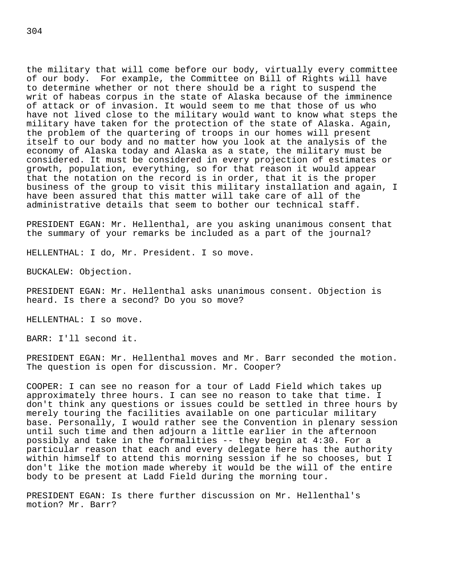the military that will come before our body, virtually every committee of our body. For example, the Committee on Bill of Rights will have to determine whether or not there should be a right to suspend the writ of habeas corpus in the state of Alaska because of the imminence of attack or of invasion. It would seem to me that those of us who have not lived close to the military would want to know what steps the military have taken for the protection of the state of Alaska. Again, the problem of the quartering of troops in our homes will present itself to our body and no matter how you look at the analysis of the economy of Alaska today and Alaska as a state, the military must be considered. It must be considered in every projection of estimates or growth, population, everything, so for that reason it would appear that the notation on the record is in order, that it is the proper business of the group to visit this military installation and again, I have been assured that this matter will take care of all of the administrative details that seem to bother our technical staff.

PRESIDENT EGAN: Mr. Hellenthal, are you asking unanimous consent that the summary of your remarks be included as a part of the journal?

HELLENTHAL: I do, Mr. President. I so move.

BUCKALEW: Objection.

PRESIDENT EGAN: Mr. Hellenthal asks unanimous consent. Objection is heard. Is there a second? Do you so move?

HELLENTHAL: I so move.

BARR: I'll second it.

PRESIDENT EGAN: Mr. Hellenthal moves and Mr. Barr seconded the motion. The question is open for discussion. Mr. Cooper?

COOPER: I can see no reason for a tour of Ladd Field which takes up approximately three hours. I can see no reason to take that time. I don't think any questions or issues could be settled in three hours by merely touring the facilities available on one particular military base. Personally, I would rather see the Convention in plenary session until such time and then adjourn a little earlier in the afternoon possibly and take in the formalities -- they begin at 4:30. For a particular reason that each and every delegate here has the authority within himself to attend this morning session if he so chooses, but I don't like the motion made whereby it would be the will of the entire body to be present at Ladd Field during the morning tour.

PRESIDENT EGAN: Is there further discussion on Mr. Hellenthal's motion? Mr. Barr?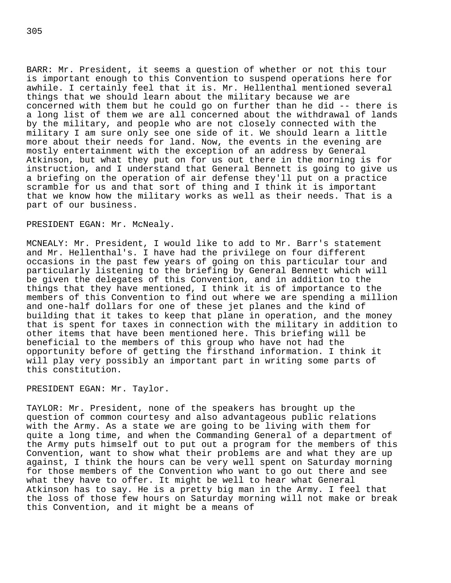BARR: Mr. President, it seems a question of whether or not this tour is important enough to this Convention to suspend operations here for awhile. I certainly feel that it is. Mr. Hellenthal mentioned several things that we should learn about the military because we are concerned with them but he could go on further than he did -- there is a long list of them we are all concerned about the withdrawal of lands by the military, and people who are not closely connected with the military I am sure only see one side of it. We should learn a little more about their needs for land. Now, the events in the evening are mostly entertainment with the exception of an address by General Atkinson, but what they put on for us out there in the morning is for instruction, and I understand that General Bennett is going to give us a briefing on the operation of air defense they'll put on a practice scramble for us and that sort of thing and I think it is important that we know how the military works as well as their needs. That is a part of our business.

## PRESIDENT EGAN: Mr. McNealy.

MCNEALY: Mr. President, I would like to add to Mr. Barr's statement and Mr. Hellenthal's. I have had the privilege on four different occasions in the past few years of going on this particular tour and particularly listening to the briefing by General Bennett which will be given the delegates of this Convention, and in addition to the things that they have mentioned, I think it is of importance to the members of this Convention to find out where we are spending a million and one-half dollars for one of these jet planes and the kind of building that it takes to keep that plane in operation, and the money that is spent for taxes in connection with the military in addition to other items that have been mentioned here. This briefing will be beneficial to the members of this group who have not had the opportunity before of getting the firsthand information. I think it will play very possibly an important part in writing some parts of this constitution.

PRESIDENT EGAN: Mr. Taylor.

TAYLOR: Mr. President, none of the speakers has brought up the question of common courtesy and also advantageous public relations with the Army. As a state we are going to be living with them for quite a long time, and when the Commanding General of a department of the Army puts himself out to put out a program for the members of this Convention, want to show what their problems are and what they are up against, I think the hours can be very well spent on Saturday morning for those members of the Convention who want to go out there and see what they have to offer. It might be well to hear what General Atkinson has to say. He is a pretty big man in the Army. I feel that the loss of those few hours on Saturday morning will not make or break this Convention, and it might be a means of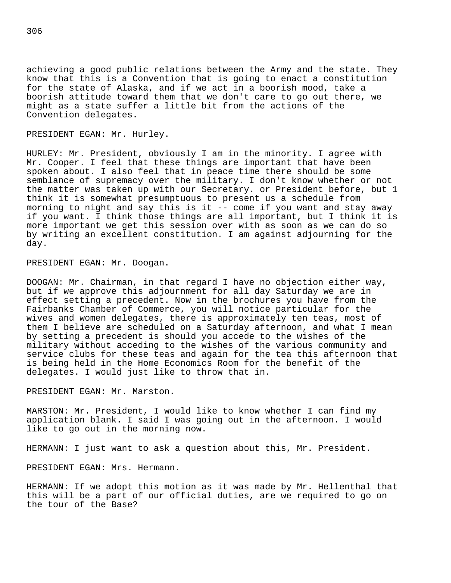achieving a good public relations between the Army and the state. They know that this is a Convention that is going to enact a constitution for the state of Alaska, and if we act in a boorish mood, take a boorish attitude toward them that we don't care to go out there, we might as a state suffer a little bit from the actions of the Convention delegates.

PRESIDENT EGAN: Mr. Hurley.

HURLEY: Mr. President, obviously I am in the minority. I agree with Mr. Cooper. I feel that these things are important that have been spoken about. I also feel that in peace time there should be some semblance of supremacy over the military. I don't know whether or not the matter was taken up with our Secretary. or President before, but 1 think it is somewhat presumptuous to present us a schedule from morning to night and say this is it -- come if you want and stay away if you want. I think those things are all important, but I think it is more important we get this session over with as soon as we can do so by writing an excellent constitution. I am against adjourning for the day.

PRESIDENT EGAN: Mr. Doogan.

DOOGAN: Mr. Chairman, in that regard I have no objection either way, but if we approve this adjournment for all day Saturday we are in effect setting a precedent. Now in the brochures you have from the Fairbanks Chamber of Commerce, you will notice particular for the wives and women delegates, there is approximately ten teas, most of them I believe are scheduled on a Saturday afternoon, and what I mean by setting a precedent is should you accede to the wishes of the military without acceding to the wishes of the various community and service clubs for these teas and again for the tea this afternoon that is being held in the Home Economics Room for the benefit of the delegates. I would just like to throw that in.

PRESIDENT EGAN: Mr. Marston.

MARSTON: Mr. President, I would like to know whether I can find my application blank. I said I was going out in the afternoon. I would like to go out in the morning now.

HERMANN: I just want to ask a question about this, Mr. President.

PRESIDENT EGAN: Mrs. Hermann.

HERMANN: If we adopt this motion as it was made by Mr. Hellenthal that this will be a part of our official duties, are we required to go on the tour of the Base?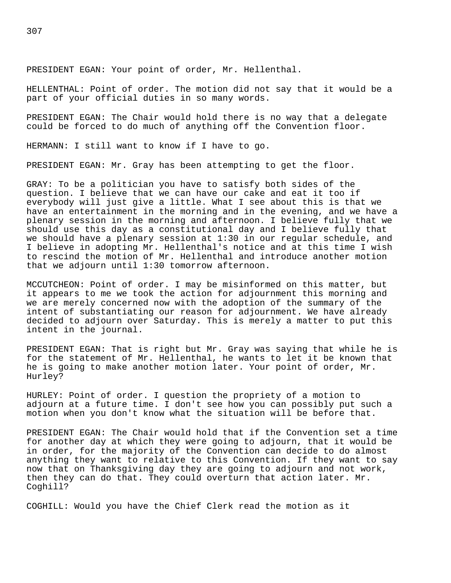PRESIDENT EGAN: Your point of order, Mr. Hellenthal.

HELLENTHAL: Point of order. The motion did not say that it would be a part of your official duties in so many words.

PRESIDENT EGAN: The Chair would hold there is no way that a delegate could be forced to do much of anything off the Convention floor.

HERMANN: I still want to know if I have to go.

PRESIDENT EGAN: Mr. Gray has been attempting to get the floor.

GRAY: To be a politician you have to satisfy both sides of the question. I believe that we can have our cake and eat it too if everybody will just give a little. What I see about this is that we have an entertainment in the morning and in the evening, and we have a plenary session in the morning and afternoon. I believe fully that we should use this day as a constitutional day and I believe fully that we should have a plenary session at 1:30 in our regular schedule, and I believe in adopting Mr. Hellenthal's notice and at this time I wish to rescind the motion of Mr. Hellenthal and introduce another motion that we adjourn until 1:30 tomorrow afternoon.

MCCUTCHEON: Point of order. I may be misinformed on this matter, but it appears to me we took the action for adjournment this morning and we are merely concerned now with the adoption of the summary of the intent of substantiating our reason for adjournment. We have already decided to adjourn over Saturday. This is merely a matter to put this intent in the journal.

PRESIDENT EGAN: That is right but Mr. Gray was saying that while he is for the statement of Mr. Hellenthal, he wants to let it be known that he is going to make another motion later. Your point of order, Mr. Hurley?

HURLEY: Point of order. I question the propriety of a motion to adjourn at a future time. I don't see how you can possibly put such a motion when you don't know what the situation will be before that.

PRESIDENT EGAN: The Chair would hold that if the Convention set a time for another day at which they were going to adjourn, that it would be in order, for the majority of the Convention can decide to do almost anything they want to relative to this Convention. If they want to say now that on Thanksgiving day they are going to adjourn and not work, then they can do that. They could overturn that action later. Mr. Coghill?

COGHILL: Would you have the Chief Clerk read the motion as it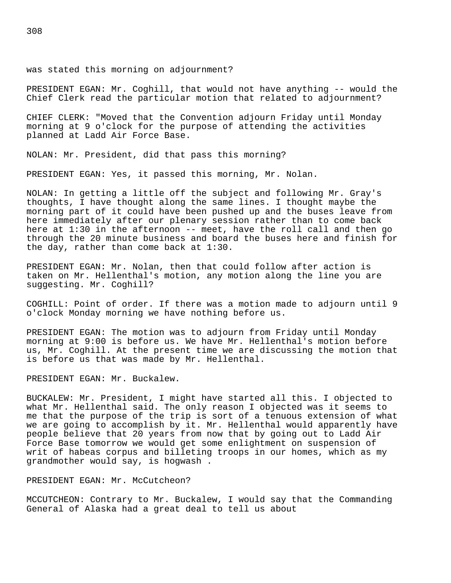was stated this morning on adjournment?

PRESIDENT EGAN: Mr. Coghill, that would not have anything -- would the Chief Clerk read the particular motion that related to adjournment?

CHIEF CLERK: "Moved that the Convention adjourn Friday until Monday morning at 9 o'clock for the purpose of attending the activities planned at Ladd Air Force Base.

NOLAN: Mr. President, did that pass this morning?

PRESIDENT EGAN: Yes, it passed this morning, Mr. Nolan.

NOLAN: In getting a little off the subject and following Mr. Gray's thoughts, I have thought along the same lines. I thought maybe the morning part of it could have been pushed up and the buses leave from here immediately after our plenary session rather than to come back here at 1:30 in the afternoon -- meet, have the roll call and then go through the 20 minute business and board the buses here and finish for the day, rather than come back at 1:30.

PRESIDENT EGAN: Mr. Nolan, then that could follow after action is taken on Mr. Hellenthal's motion, any motion along the line you are suggesting. Mr. Coghill?

COGHILL: Point of order. If there was a motion made to adjourn until 9 o'clock Monday morning we have nothing before us.

PRESIDENT EGAN: The motion was to adjourn from Friday until Monday morning at 9:00 is before us. We have Mr. Hellenthal's motion before us, Mr. Coghill. At the present time we are discussing the motion that is before us that was made by Mr. Hellenthal.

PRESIDENT EGAN: Mr. Buckalew.

BUCKALEW: Mr. President, I might have started all this. I objected to what Mr. Hellenthal said. The only reason I objected was it seems to me that the purpose of the trip is sort of a tenuous extension of what we are going to accomplish by it. Mr. Hellenthal would apparently have people believe that 20 years from now that by going out to Ladd Air Force Base tomorrow we would get some enlightment on suspension of writ of habeas corpus and billeting troops in our homes, which as my grandmother would say, is hogwash .

PRESIDENT EGAN: Mr. McCutcheon?

MCCUTCHEON: Contrary to Mr. Buckalew, I would say that the Commanding General of Alaska had a great deal to tell us about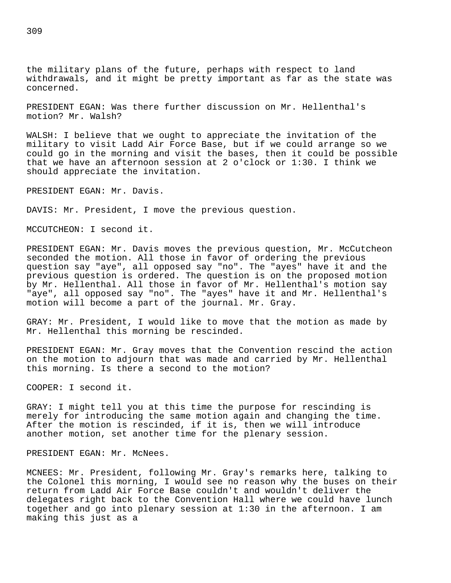the military plans of the future, perhaps with respect to land withdrawals, and it might be pretty important as far as the state was concerned.

PRESIDENT EGAN: Was there further discussion on Mr. Hellenthal's motion? Mr. Walsh?

WALSH: I believe that we ought to appreciate the invitation of the military to visit Ladd Air Force Base, but if we could arrange so we could go in the morning and visit the bases, then it could be possible that we have an afternoon session at 2 o'clock or 1:30. I think we should appreciate the invitation.

PRESIDENT EGAN: Mr. Davis.

DAVIS: Mr. President, I move the previous question.

MCCUTCHEON: I second it.

PRESIDENT EGAN: Mr. Davis moves the previous question, Mr. McCutcheon seconded the motion. All those in favor of ordering the previous question say "aye", all opposed say "no". The "ayes" have it and the previous question is ordered. The question is on the proposed motion by Mr. Hellenthal. All those in favor of Mr. Hellenthal's motion say "aye", all opposed say "no". The "ayes" have it and Mr. Hellenthal's motion will become a part of the journal. Mr. Gray.

GRAY: Mr. President, I would like to move that the motion as made by Mr. Hellenthal this morning be rescinded.

PRESIDENT EGAN: Mr. Gray moves that the Convention rescind the action on the motion to adjourn that was made and carried by Mr. Hellenthal this morning. Is there a second to the motion?

COOPER: I second it.

GRAY: I might tell you at this time the purpose for rescinding is merely for introducing the same motion again and changing the time. After the motion is rescinded, if it is, then we will introduce another motion, set another time for the plenary session.

PRESIDENT EGAN: Mr. McNees.

MCNEES: Mr. President, following Mr. Gray's remarks here, talking to the Colonel this morning, I would see no reason why the buses on their return from Ladd Air Force Base couldn't and wouldn't deliver the delegates right back to the Convention Hall where we could have lunch together and go into plenary session at 1:30 in the afternoon. I am making this just as a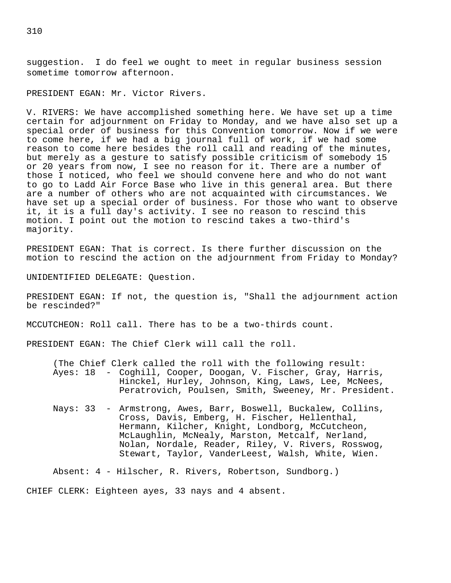suggestion. I do feel we ought to meet in regular business session sometime tomorrow afternoon.

PRESIDENT EGAN: Mr. Victor Rivers.

V. RIVERS: We have accomplished something here. We have set up a time certain for adjournment on Friday to Monday, and we have also set up a special order of business for this Convention tomorrow. Now if we were to come here, if we had a big journal full of work, if we had some reason to come here besides the roll call and reading of the minutes, but merely as a gesture to satisfy possible criticism of somebody 15 or 20 years from now, I see no reason for it. There are a number of those I noticed, who feel we should convene here and who do not want to go to Ladd Air Force Base who live in this general area. But there are a number of others who are not acquainted with circumstances. We have set up a special order of business. For those who want to observe it, it is a full day's activity. I see no reason to rescind this motion. I point out the motion to rescind takes a two-third's majority.

PRESIDENT EGAN: That is correct. Is there further discussion on the motion to rescind the action on the adjournment from Friday to Monday?

UNIDENTIFIED DELEGATE: Question.

PRESIDENT EGAN: If not, the question is, "Shall the adjournment action be rescinded?"

MCCUTCHEON: Roll call. There has to be a two-thirds count.

PRESIDENT EGAN: The Chief Clerk will call the roll.

(The Chief Clerk called the roll with the following result: Ayes: 18 - Coghill, Cooper, Doogan, V. Fischer, Gray, Harris, Hinckel, Hurley, Johnson, King, Laws, Lee, McNees, Peratrovich, Poulsen, Smith, Sweeney, Mr. President.

Nays: 33 - Armstrong, Awes, Barr, Boswell, Buckalew, Collins, Cross, Davis, Emberg, H. Fischer, Hellenthal, Hermann, Kilcher, Knight, Londborg, McCutcheon, McLaughlin, McNealy, Marston, Metcalf, Nerland, Nolan, Nordale, Reader, Riley, V. Rivers, Rosswog, Stewart, Taylor, VanderLeest, Walsh, White, Wien.

Absent: 4 - Hilscher, R. Rivers, Robertson, Sundborg.)

CHIEF CLERK: Eighteen ayes, 33 nays and 4 absent.